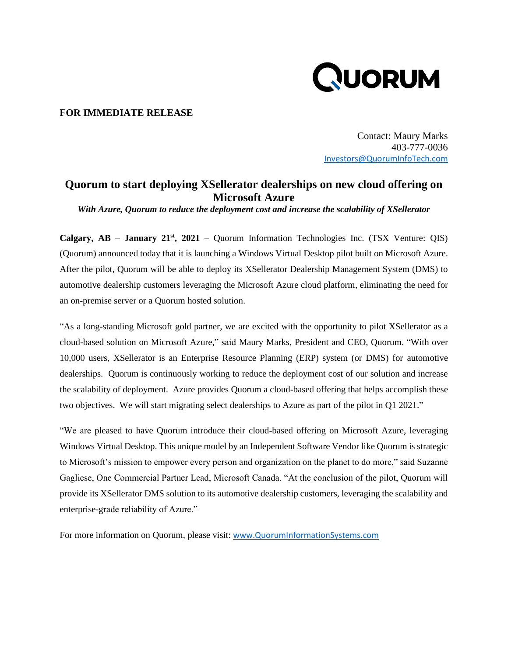

## **FOR IMMEDIATE RELEASE**

Contact: Maury Marks 403-777-0036 [Investors@QuorumInfoTech.com](mailto:Investors@QuorumInfoTech.com)

## **Quorum to start deploying XSellerator dealerships on new cloud offering on Microsoft Azure**

*With Azure, Quorum to reduce the deployment cost and increase the scalability of XSellerator*

**Calgary, AB** – **January 21**<sup>st</sup>, **2021** – Quorum Information Technologies Inc. (TSX Venture: QIS) (Quorum) announced today that it is launching a Windows Virtual Desktop pilot built on Microsoft Azure. After the pilot, Quorum will be able to deploy its XSellerator Dealership Management System (DMS) to automotive dealership customers leveraging the Microsoft Azure cloud platform, eliminating the need for an on-premise server or a Quorum hosted solution.

"As a long-standing Microsoft gold partner, we are excited with the opportunity to pilot XSellerator as a cloud-based solution on Microsoft Azure," said Maury Marks, President and CEO, Quorum. "With over 10,000 users, XSellerator is an Enterprise Resource Planning (ERP) system (or DMS) for automotive dealerships. Quorum is continuously working to reduce the deployment cost of our solution and increase the scalability of deployment. Azure provides Quorum a cloud-based offering that helps accomplish these two objectives. We will start migrating select dealerships to Azure as part of the pilot in Q1 2021."

"We are pleased to have Quorum introduce their cloud-based offering on Microsoft Azure, leveraging Windows Virtual Desktop. This unique model by an Independent Software Vendor like Quorum is strategic to Microsoft's mission to empower every person and organization on the planet to do more," said Suzanne Gagliese, One Commercial Partner Lead, Microsoft Canada. "At the conclusion of the pilot, Quorum will provide its XSellerator DMS solution to its automotive dealership customers, leveraging the scalability and enterprise-grade reliability of Azure."

For more information on Quorum, please visit: www.QuorumInformationSystems.com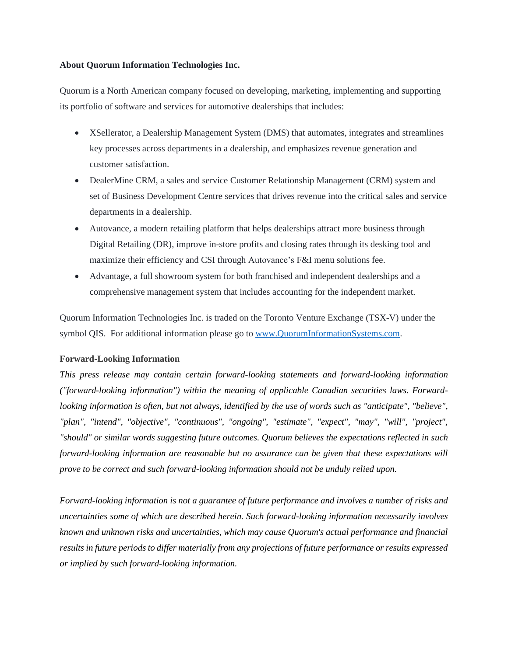## **About Quorum Information Technologies Inc.**

Quorum is a North American company focused on developing, marketing, implementing and supporting its portfolio of software and services for automotive dealerships that includes:

- XSellerator, a Dealership Management System (DMS) that automates, integrates and streamlines key processes across departments in a dealership, and emphasizes revenue generation and customer satisfaction.
- DealerMine CRM, a sales and service Customer Relationship Management (CRM) system and set of Business Development Centre services that drives revenue into the critical sales and service departments in a dealership.
- Autovance, a modern retailing platform that helps dealerships attract more business through Digital Retailing (DR), improve in-store profits and closing rates through its desking tool and maximize their efficiency and CSI through Autovance's F&I menu solutions fee.
- Advantage, a full showroom system for both franchised and independent dealerships and a comprehensive management system that includes accounting for the independent market.

Quorum Information Technologies Inc. is traded on the Toronto Venture Exchange (TSX-V) under the symbol QIS. For additional information please go to www.QuorumInformationSystems.com.

## **Forward-Looking Information**

*This press release may contain certain forward-looking statements and forward-looking information ("forward-looking information") within the meaning of applicable Canadian securities laws. Forwardlooking information is often, but not always, identified by the use of words such as "anticipate", "believe", "plan", "intend", "objective", "continuous", "ongoing", "estimate", "expect", "may", "will", "project", "should" or similar words suggesting future outcomes. Quorum believes the expectations reflected in such forward-looking information are reasonable but no assurance can be given that these expectations will prove to be correct and such forward-looking information should not be unduly relied upon.*

*Forward-looking information is not a guarantee of future performance and involves a number of risks and uncertainties some of which are described herein. Such forward-looking information necessarily involves known and unknown risks and uncertainties, which may cause Quorum's actual performance and financial results in future periods to differ materially from any projections of future performance or results expressed or implied by such forward-looking information.*